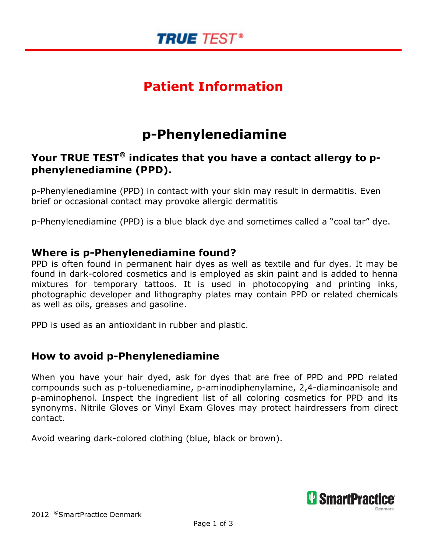

## Patient Information

## p-Phenylenediamine

### Your TRUE TEST<sup>®</sup> indicates that you have a contact allergy to pphenylenediamine (PPD).

p-Phenylenediamine (PPD) in contact with your skin may result in dermatitis. Even brief or occasional contact may provoke allergic dermatitis

p-Phenylenediamine (PPD) is a blue black dye and sometimes called a "coal tar" dye.

### Where is p-Phenylenediamine found?

PPD is often found in permanent hair dyes as well as textile and fur dyes. It may be found in dark-colored cosmetics and is employed as skin paint and is added to henna mixtures for temporary tattoos. It is used in photocopying and printing inks, photographic developer and lithography plates may contain PPD or related chemicals as well as oils, greases and gasoline.

PPD is used as an antioxidant in rubber and plastic.

### How to avoid p-Phenylenediamine

When you have your hair dyed, ask for dyes that are free of PPD and PPD related compounds such as p-toluenediamine, p-aminodiphenylamine, 2,4-diaminoanisole and p-aminophenol. Inspect the ingredient list of all coloring cosmetics for PPD and its synonyms. Nitrile Gloves or Vinyl Exam Gloves may protect hairdressers from direct contact.

Avoid wearing dark-colored clothing (blue, black or brown).

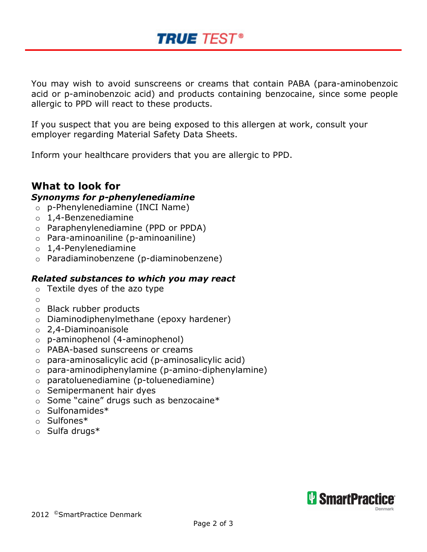You may wish to avoid sunscreens or creams that contain PABA (para-aminobenzoic acid or p-aminobenzoic acid) and products containing benzocaine, since some people allergic to PPD will react to these products.

If you suspect that you are being exposed to this allergen at work, consult your employer regarding Material Safety Data Sheets.

**TRUE TEST®** 

Inform your healthcare providers that you are allergic to PPD.

#### What to look for Synonyms for p-phenylenediamine

- o p-Phenylenediamine (INCI Name)
- $o$  1,4-Benzenediamine
- o Paraphenylenediamine (PPD or PPDA)
- o Para-aminoaniline (p-aminoaniline)
- $o$  1,4-Penylenediamine
- o Paradiaminobenzene (p-diaminobenzene)

#### Related substances to which you may react

- $\circ$  Textile dyes of the azo type
- o
- o Black rubber products
- o Diaminodiphenylmethane (epoxy hardener)
- o 2,4-Diaminoanisole
- o p-aminophenol (4-aminophenol)
- o PABA-based sunscreens or creams
- $\circ$  para-aminosalicylic acid (p-aminosalicylic acid)
- o para-aminodiphenylamine (p-amino-diphenylamine)
- o paratoluenediamine (p-toluenediamine)
- o Semipermanent hair dyes
- o Some "caine" drugs such as benzocaine\*
- o Sulfonamides\*
- o Sulfones\*
- o Sulfa drugs\*